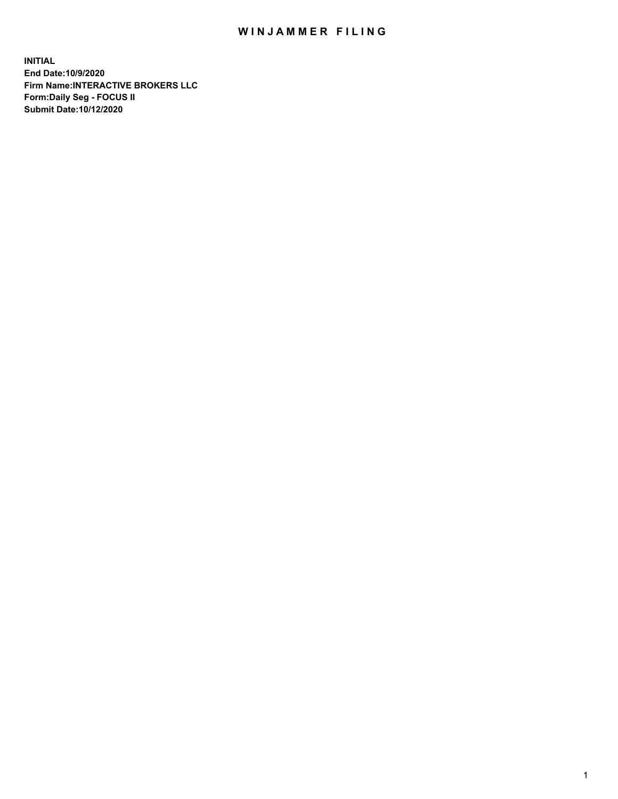## WIN JAMMER FILING

**INITIAL End Date:10/9/2020 Firm Name:INTERACTIVE BROKERS LLC Form:Daily Seg - FOCUS II Submit Date:10/12/2020**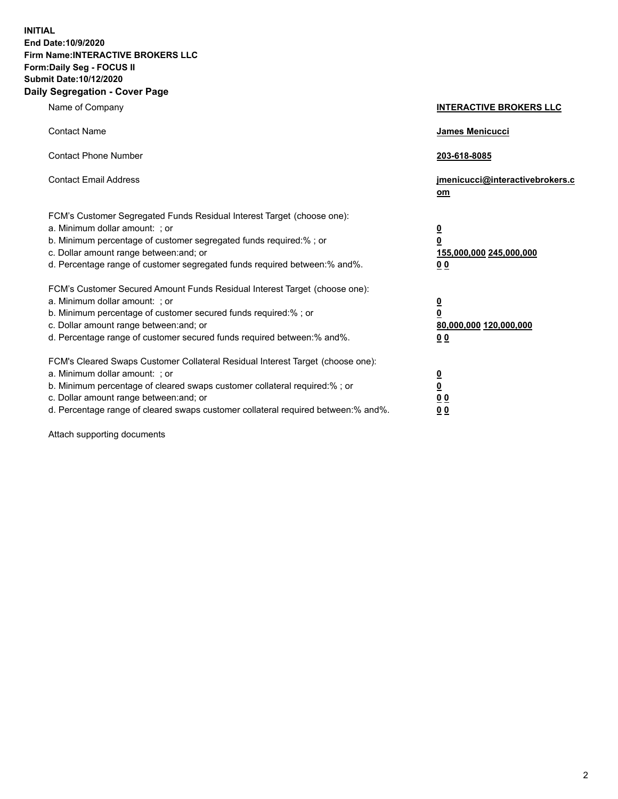**INITIAL End Date:10/9/2020 Firm Name:INTERACTIVE BROKERS LLC Form:Daily Seg - FOCUS II Submit Date:10/12/2020 Daily Segregation - Cover Page**

| Name of Company                                                                                                                                                                                                                                                                                                               | <b>INTERACTIVE BROKERS LLC</b>                                                            |  |
|-------------------------------------------------------------------------------------------------------------------------------------------------------------------------------------------------------------------------------------------------------------------------------------------------------------------------------|-------------------------------------------------------------------------------------------|--|
| <b>Contact Name</b>                                                                                                                                                                                                                                                                                                           | James Menicucci                                                                           |  |
| <b>Contact Phone Number</b>                                                                                                                                                                                                                                                                                                   | 203-618-8085                                                                              |  |
| <b>Contact Email Address</b>                                                                                                                                                                                                                                                                                                  | jmenicucci@interactivebrokers.c<br><u>om</u>                                              |  |
| FCM's Customer Segregated Funds Residual Interest Target (choose one):<br>a. Minimum dollar amount: ; or<br>b. Minimum percentage of customer segregated funds required:% ; or<br>c. Dollar amount range between: and; or<br>d. Percentage range of customer segregated funds required between: % and %.                      | $\overline{\mathbf{0}}$<br>0<br>155,000,000 245,000,000<br>0 <sub>0</sub>                 |  |
| FCM's Customer Secured Amount Funds Residual Interest Target (choose one):<br>a. Minimum dollar amount: ; or<br>b. Minimum percentage of customer secured funds required:%; or<br>c. Dollar amount range between: and; or<br>d. Percentage range of customer secured funds required between:% and%.                           | <u>0</u><br>$\overline{\mathbf{0}}$<br>80,000,000 120,000,000<br>00                       |  |
| FCM's Cleared Swaps Customer Collateral Residual Interest Target (choose one):<br>a. Minimum dollar amount: ; or<br>b. Minimum percentage of cleared swaps customer collateral required:%; or<br>c. Dollar amount range between: and; or<br>d. Percentage range of cleared swaps customer collateral required between:% and%. | <u>0</u><br>$\underline{\mathbf{0}}$<br>$\underline{0}$ $\underline{0}$<br>0 <sub>0</sub> |  |

Attach supporting documents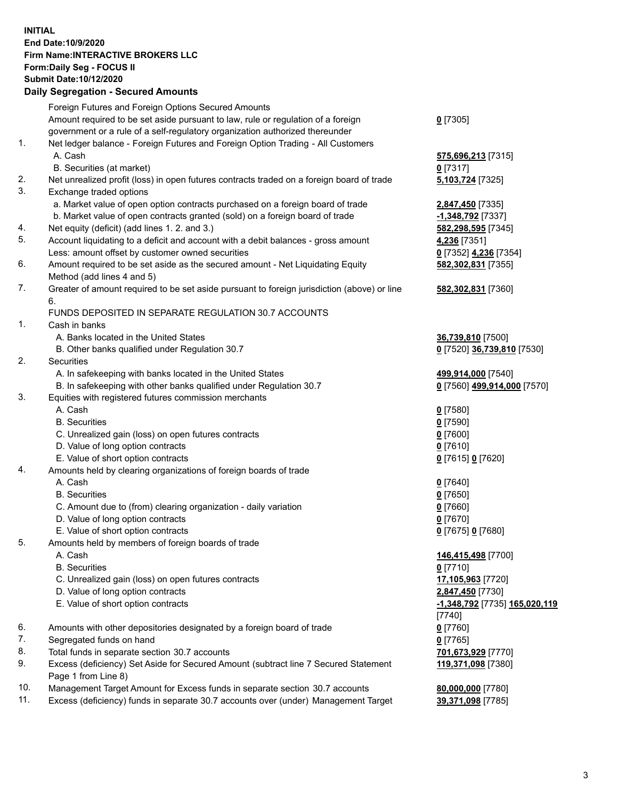**INITIAL End Date:10/9/2020 Firm Name:INTERACTIVE BROKERS LLC Form:Daily Seg - FOCUS II Submit Date:10/12/2020 Daily Segregation - Secured Amounts**

## Foreign Futures and Foreign Options Secured Amounts Amount required to be set aside pursuant to law, rule or regulation of a foreign government or a rule of a self-regulatory organization authorized thereunder **0** [7305] 1. Net ledger balance - Foreign Futures and Foreign Option Trading - All Customers A. Cash **575,696,213** [7315] B. Securities (at market) **0** [7317] 2. Net unrealized profit (loss) in open futures contracts traded on a foreign board of trade **5,103,724** [7325] 3. Exchange traded options a. Market value of open option contracts purchased on a foreign board of trade **2,847,450** [7335] b. Market value of open contracts granted (sold) on a foreign board of trade **-1,348,792** [7337] 4. Net equity (deficit) (add lines 1. 2. and 3.) **582,298,595** [7345] 5. Account liquidating to a deficit and account with a debit balances - gross amount **4,236** [7351] Less: amount offset by customer owned securities **0** [7352] **4,236** [7354] 6. Amount required to be set aside as the secured amount - Net Liquidating Equity Method (add lines 4 and 5) **582,302,831** [7355] 7. Greater of amount required to be set aside pursuant to foreign jurisdiction (above) or line 6. **582,302,831** [7360] FUNDS DEPOSITED IN SEPARATE REGULATION 30.7 ACCOUNTS 1. Cash in banks A. Banks located in the United States **36,739,810** [7500] B. Other banks qualified under Regulation 30.7 **0** [7520] **36,739,810** [7530] 2. Securities A. In safekeeping with banks located in the United States **499,914,000** [7540] B. In safekeeping with other banks qualified under Regulation 30.7 **0** [7560] **499,914,000** [7570] 3. Equities with registered futures commission merchants A. Cash **0** [7580] B. Securities **0** [7590] C. Unrealized gain (loss) on open futures contracts **0** [7600] D. Value of long option contracts **0** [7610] E. Value of short option contracts **0** [7615] **0** [7620] 4. Amounts held by clearing organizations of foreign boards of trade A. Cash **0** [7640] B. Securities **0** [7650] C. Amount due to (from) clearing organization - daily variation **0** [7660] D. Value of long option contracts **0** [7670] E. Value of short option contracts **0** [7675] **0** [7680] 5. Amounts held by members of foreign boards of trade A. Cash **146,415,498** [7700] B. Securities **0** [7710] C. Unrealized gain (loss) on open futures contracts **17,105,963** [7720] D. Value of long option contracts **2,847,450** [7730] E. Value of short option contracts **-1,348,792** [7735] **165,020,119** [7740] 6. Amounts with other depositories designated by a foreign board of trade **0** [7760] 7. Segregated funds on hand **0** [7765] 8. Total funds in separate section 30.7 accounts **701,673,929** [7770] 9. Excess (deficiency) Set Aside for Secured Amount (subtract line 7 Secured Statement Page 1 from Line 8) **119,371,098** [7380] 10. Management Target Amount for Excess funds in separate section 30.7 accounts **80,000,000** [7780] 11. Excess (deficiency) funds in separate 30.7 accounts over (under) Management Target **39,371,098** [7785]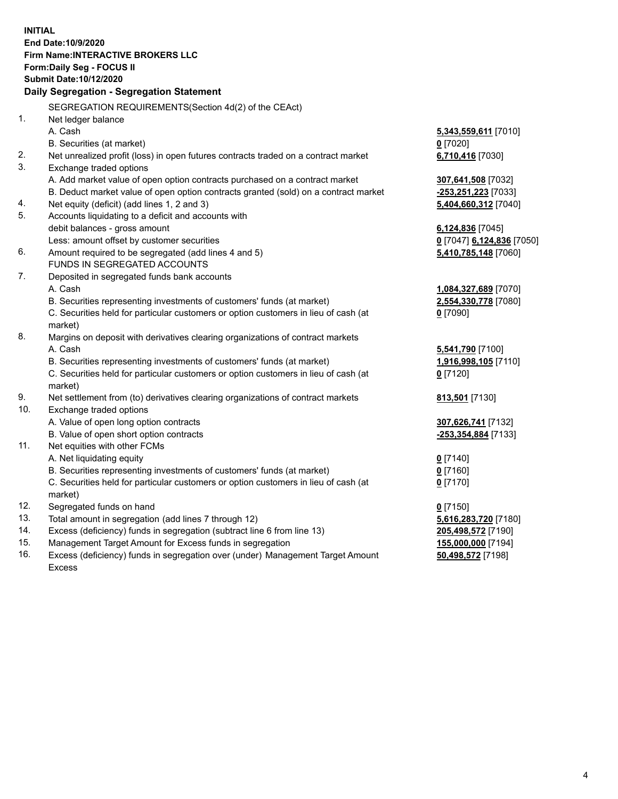**INITIAL End Date:10/9/2020 Firm Name:INTERACTIVE BROKERS LLC Form:Daily Seg - FOCUS II Submit Date:10/12/2020 Daily Segregation - Segregation Statement** SEGREGATION REQUIREMENTS(Section 4d(2) of the CEAct) 1. Net ledger balance A. Cash **5,343,559,611** [7010] B. Securities (at market) **0** [7020] 2. Net unrealized profit (loss) in open futures contracts traded on a contract market **6,710,416** [7030] 3. Exchange traded options A. Add market value of open option contracts purchased on a contract market **307,641,508** [7032] B. Deduct market value of open option contracts granted (sold) on a contract market **-253,251,223** [7033] 4. Net equity (deficit) (add lines 1, 2 and 3) **5,404,660,312** [7040] 5. Accounts liquidating to a deficit and accounts with debit balances - gross amount **6,124,836** [7045] Less: amount offset by customer securities **0** [7047] **6,124,836** [7050] 6. Amount required to be segregated (add lines 4 and 5) **5,410,785,148** [7060] FUNDS IN SEGREGATED ACCOUNTS 7. Deposited in segregated funds bank accounts A. Cash **1,084,327,689** [7070] B. Securities representing investments of customers' funds (at market) **2,554,330,778** [7080] C. Securities held for particular customers or option customers in lieu of cash (at market) **0** [7090] 8. Margins on deposit with derivatives clearing organizations of contract markets A. Cash **5,541,790** [7100] B. Securities representing investments of customers' funds (at market) **1,916,998,105** [7110] C. Securities held for particular customers or option customers in lieu of cash (at market) **0** [7120] 9. Net settlement from (to) derivatives clearing organizations of contract markets **813,501** [7130] 10. Exchange traded options A. Value of open long option contracts **307,626,741** [7132] B. Value of open short option contracts **-253,354,884** [7133] 11. Net equities with other FCMs A. Net liquidating equity **0** [7140] B. Securities representing investments of customers' funds (at market) **0** [7160] C. Securities held for particular customers or option customers in lieu of cash (at market) **0** [7170] 12. Segregated funds on hand **0** [7150] 13. Total amount in segregation (add lines 7 through 12) **5,616,283,720** [7180] 14. Excess (deficiency) funds in segregation (subtract line 6 from line 13) **205,498,572** [7190] 15. Management Target Amount for Excess funds in segregation **155,000,000** [7194] **50,498,572** [7198]

16. Excess (deficiency) funds in segregation over (under) Management Target Amount Excess